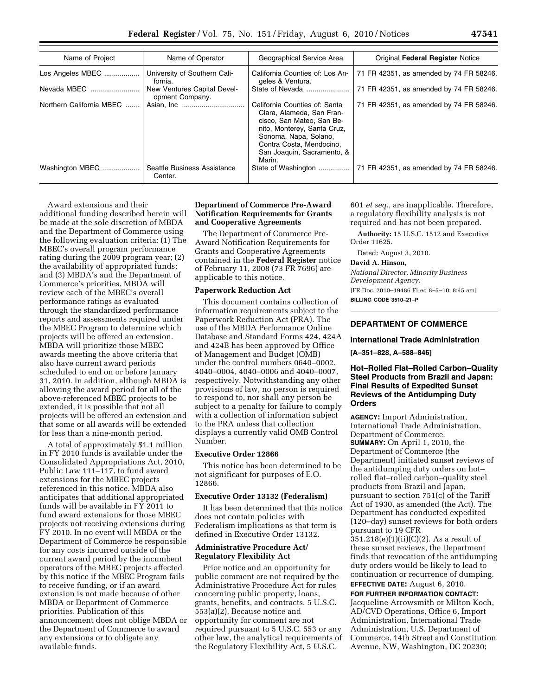| Name of Project          | Name of Operator                               | Geographical Service Area                                                                                                                                                                                           | Original Federal Register Notice        |
|--------------------------|------------------------------------------------|---------------------------------------------------------------------------------------------------------------------------------------------------------------------------------------------------------------------|-----------------------------------------|
| Los Angeles MBEC         | University of Southern Cali-<br>fornia.        | California Counties of: Los An-<br>geles & Ventura.                                                                                                                                                                 | 71 FR 42351, as amended by 74 FR 58246. |
| Nevada MBEC              | New Ventures Capital Devel-<br>opment Company. | State of Nevada                                                                                                                                                                                                     | 71 FR 42351, as amended by 74 FR 58246. |
| Northern California MBEC |                                                | California Counties of: Santa<br>Clara, Alameda, San Fran-<br>cisco, San Mateo, San Be-<br>nito, Monterey, Santa Cruz,<br>Sonoma, Napa, Solano,<br>Contra Costa, Mendocino,<br>San Joaquin, Sacramento, &<br>Marin. | 71 FR 42351, as amended by 74 FR 58246. |
| Washington MBEC          | Seattle Business Assistance<br>Center.         | State of Washington                                                                                                                                                                                                 | 71 FR 42351, as amended by 74 FR 58246. |

Award extensions and their additional funding described herein will be made at the sole discretion of MBDA and the Department of Commerce using the following evaluation criteria: (1) The MBEC's overall program performance rating during the 2009 program year; (2) the availability of appropriated funds; and (3) MBDA's and the Department of Commerce's priorities. MBDA will review each of the MBEC's overall performance ratings as evaluated through the standardized performance reports and assessments required under the MBEC Program to determine which projects will be offered an extension. MBDA will prioritize those MBEC awards meeting the above criteria that also have current award periods scheduled to end on or before January 31, 2010. In addition, although MBDA is allowing the award period for all of the above-referenced MBEC projects to be extended, it is possible that not all projects will be offered an extension and that some or all awards will be extended for less than a nine-month period.

A total of approximately \$1.1 million in FY 2010 funds is available under the Consolidated Appropriations Act, 2010, Public Law 111–117, to fund award extensions for the MBEC projects referenced in this notice. MBDA also anticipates that additional appropriated funds will be available in FY 2011 to fund award extensions for those MBEC projects not receiving extensions during FY 2010. In no event will MBDA or the Department of Commerce be responsible for any costs incurred outside of the current award period by the incumbent operators of the MBEC projects affected by this notice if the MBEC Program fails to receive funding, or if an award extension is not made because of other MBDA or Department of Commerce priorities. Publication of this announcement does not oblige MBDA or the Department of Commerce to award any extensions or to obligate any available funds.

# **Department of Commerce Pre-Award Notification Requirements for Grants and Cooperative Agreements**

The Department of Commerce Pre-Award Notification Requirements for Grants and Cooperative Agreements contained in the **Federal Register** notice of February 11, 2008 (73 FR 7696) are applicable to this notice.

#### **Paperwork Reduction Act**

This document contains collection of information requirements subject to the Paperwork Reduction Act (PRA). The use of the MBDA Performance Online Database and Standard Forms 424, 424A and 424B has been approved by Office of Management and Budget (OMB) under the control numbers 0640–0002, 4040–0004, 4040–0006 and 4040–0007, respectively. Notwithstanding any other provisions of law, no person is required to respond to, nor shall any person be subject to a penalty for failure to comply with a collection of information subject to the PRA unless that collection displays a currently valid OMB Control Number.

#### **Executive Order 12866**

This notice has been determined to be not significant for purposes of E.O. 12866.

# **Executive Order 13132 (Federalism)**

It has been determined that this notice does not contain policies with Federalism implications as that term is defined in Executive Order 13132.

# **Administrative Procedure Act/ Regulatory Flexibility Act**

Prior notice and an opportunity for public comment are not required by the Administrative Procedure Act for rules concerning public property, loans, grants, benefits, and contracts. 5 U.S.C. 553(a)(2). Because notice and opportunity for comment are not required pursuant to 5 U.S.C. 553 or any other law, the analytical requirements of the Regulatory Flexibility Act, 5 U.S.C.

601 *et seq.,* are inapplicable. Therefore, a regulatory flexibility analysis is not required and has not been prepared.

**Authority:** 15 U.S.C. 1512 and Executive Order 11625.

Dated: August 3, 2010.

### **David A. Hinson,**

*National Director, Minority Business Development Agency.*  [FR Doc. 2010–19486 Filed 8–5–10; 8:45 am]

**BILLING CODE 3510–21–P** 

# **DEPARTMENT OF COMMERCE**

#### **International Trade Administration**

**[A–351–828, A–588–846]** 

# **Hot–Rolled Flat–Rolled Carbon–Quality Steel Products from Brazil and Japan: Final Results of Expedited Sunset Reviews of the Antidumping Duty Orders**

**AGENCY:** Import Administration, International Trade Administration, Department of Commerce. **SUMMARY:** On April 1, 2010, the Department of Commerce (the Department) initiated sunset reviews of the antidumping duty orders on hot– rolled flat–rolled carbon–quality steel products from Brazil and Japan, pursuant to section 751(c) of the Tariff Act of 1930, as amended (the Act). The Department has conducted expedited (120–day) sunset reviews for both orders pursuant to 19 CFR

 $351.218(e)(1)(ii)(C)(2)$ . As a result of these sunset reviews, the Department finds that revocation of the antidumping duty orders would be likely to lead to continuation or recurrence of dumping. **EFFECTIVE DATE:** August 6, 2010.

**FOR FURTHER INFORMATION CONTACT:**  Jacqueline Arrowsmith or Milton Koch, AD/CVD Operations, Office 6, Import Administration, International Trade Administration, U.S. Department of Commerce, 14th Street and Constitution Avenue, NW, Washington, DC 20230;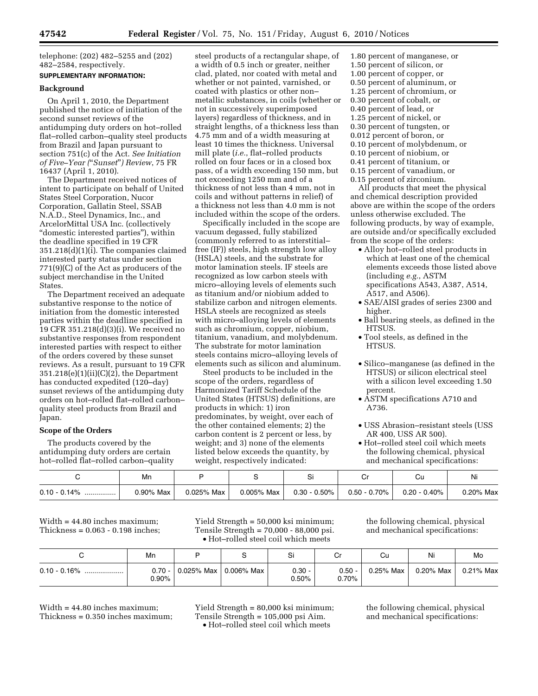telephone: (202) 482–5255 and (202) 482–2584, respectively.

# **SUPPLEMENTARY INFORMATION:**

#### **Background**

On April 1, 2010, the Department published the notice of initiation of the second sunset reviews of the antidumping duty orders on hot–rolled flat–rolled carbon–quality steel products from Brazil and Japan pursuant to section 751(c) of the Act. *See Initiation of Five–Year (*''*Sunset*''*) Review*, 75 FR 16437 (April 1, 2010).

The Department received notices of intent to participate on behalf of United States Steel Corporation, Nucor Corporation, Gallatin Steel, SSAB N.A.D., Steel Dynamics, Inc., and ArcelorMittal USA Inc. (collectively ''domestic interested parties''), within the deadline specified in 19 CFR 351.218(d)(1)(i). The companies claimed interested party status under section 771(9)(C) of the Act as producers of the subject merchandise in the United States.

The Department received an adequate substantive response to the notice of initiation from the domestic interested parties within the deadline specified in 19 CFR 351.218(d)(3)(i). We received no substantive responses from respondent interested parties with respect to either of the orders covered by these sunset reviews. As a result, pursuant to 19 CFR 351.218(e)(1)(ii)(C)(2), the Department has conducted expedited (120–day) sunset reviews of the antidumping duty orders on hot–rolled flat–rolled carbon– quality steel products from Brazil and Japan.

# **Scope of the Orders**

The products covered by the antidumping duty orders are certain hot–rolled flat–rolled carbon–quality

steel products of a rectangular shape, of a width of 0.5 inch or greater, neither clad, plated, nor coated with metal and whether or not painted, varnished, or coated with plastics or other non– metallic substances, in coils (whether or not in successively superimposed layers) regardless of thickness, and in straight lengths, of a thickness less than 4.75 mm and of a width measuring at least 10 times the thickness. Universal mill plate (*i.e.*, flat–rolled products rolled on four faces or in a closed box pass, of a width exceeding 150 mm, but not exceeding 1250 mm and of a thickness of not less than 4 mm, not in coils and without patterns in relief) of a thickness not less than 4.0 mm is not included within the scope of the orders.

Specifically included in the scope are vacuum degassed, fully stabilized (commonly referred to as interstitial– free (IF)) steels, high strength low alloy (HSLA) steels, and the substrate for motor lamination steels. IF steels are recognized as low carbon steels with micro–alloying levels of elements such as titanium and/or niobium added to stabilize carbon and nitrogen elements. HSLA steels are recognized as steels with micro–alloying levels of elements such as chromium, copper, niobium, titanium, vanadium, and molybdenum. The substrate for motor lamination steels contains micro–alloying levels of elements such as silicon and aluminum.

Steel products to be included in the scope of the orders, regardless of Harmonized Tariff Schedule of the United States (HTSUS) definitions, are products in which: 1) iron predominates, by weight, over each of the other contained elements; 2) the carbon content is 2 percent or less, by weight; and 3) none of the elements listed below exceeds the quantity, by weight, respectively indicated:

- 1.80 percent of manganese, or
- 1.50 percent of silicon, or
- 1.00 percent of copper, or
- 0.50 percent of aluminum, or
- 1.25 percent of chromium, or
- 0.30 percent of cobalt, or 0.40 percent of lead, or
- 1.25 percent of nickel, or
- 0.30 percent of tungsten, or
- 0.012 percent of boron, or
- 0.10 percent of molybdenum, or
- 0.10 percent of niobium, or
- 0.41 percent of titanium, or
- 0.15 percent of vanadium, or
- 0.15 percent of zirconium.

All products that meet the physical and chemical description provided above are within the scope of the orders unless otherwise excluded. The following products, by way of example, are outside and/or specifically excluded from the scope of the orders:

- Alloy hot–rolled steel products in which at least one of the chemical elements exceeds those listed above (including *e.g.*, ASTM specifications A543, A387, A514, A517, and A506).
- SAE/AISI grades of series 2300 and higher.
- Ball bearing steels, as defined in the HTSUS.
- Tool steels, as defined in the HTSUS.
- Silico–manganese (as defined in the HTSUS) or silicon electrical steel with a silicon level exceeding 1.50 percent.
- ASTM specifications A710 and A736.
- USS Abrasion–resistant steels (USS AR 400, USS AR 500).
- Hot–rolled steel coil which meets the following chemical, physical and mechanical specifications:

|                 | Mr.       |            |               | וכ              |                 | Ψu           | Νı        |
|-----------------|-----------|------------|---------------|-----------------|-----------------|--------------|-----------|
| $0.10 - 0.14\%$ | 0.90% Max | 0.025% Max | $0.005\%$ Max | $0.30 - 0.50\%$ | $0.50 - 0.70\%$ | 0.20 - 0.40% | 0.20% Max |

Width = 44.80 inches maximum; Thickness = 0.063 - 0.198 inches; Yield Strength = 50,000 ksi minimum; Tensile Strength = 70,000 - 88,000 psi. • Hot–rolled steel coil which meets

the following chemical, physical and mechanical specifications:

|                 | Mn                   |                         | اب                   | Cr                   | Cu                | Ni        | Mo        |
|-----------------|----------------------|-------------------------|----------------------|----------------------|-------------------|-----------|-----------|
| $0.10 - 0.16\%$ | $0.70 -$<br>$0.90\%$ | 0.025% Max   0.006% Max | $0.30 -$<br>$0.50\%$ | $0.50 -$<br>$0.70\%$ | $0.25\%$ Max $^+$ | 0.20% Max | 0.21% Max |

Width = 44.80 inches maximum; Thickness = 0.350 inches maximum; Yield Strength = 80,000 ksi minimum; Tensile Strength = 105,000 psi Aim. • Hot–rolled steel coil which meets

the following chemical, physical and mechanical specifications: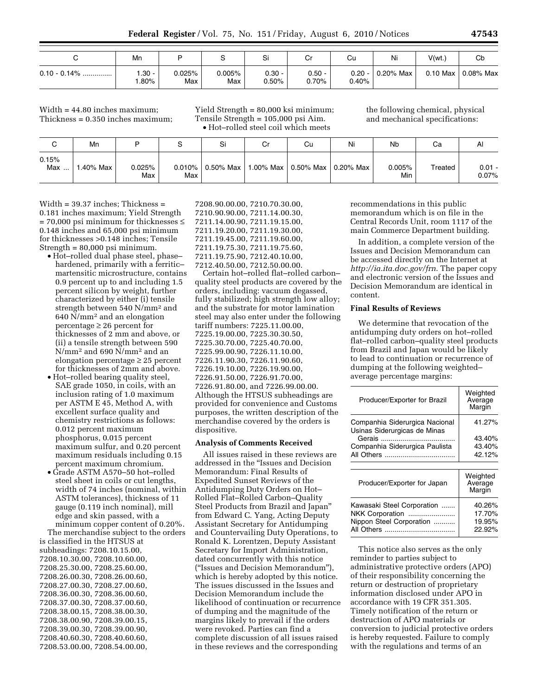|                 | Mn                 |               |               | r:                | ◡                 | Cu                | Ni        | V(wt)                  | Сb        |
|-----------------|--------------------|---------------|---------------|-------------------|-------------------|-------------------|-----------|------------------------|-----------|
| $0.10 - 0.14\%$ | $.30 -$<br>$.80\%$ | 0.025%<br>Max | 0.005%<br>Max | $0.30 -$<br>0.50% | $0.50 -$<br>0.70% | $0.20 -$<br>0.40% | 0.20% Max | $0.10$ Max $\parallel$ | 0.08% Max |

Width = 44.80 inches maximum; Thickness = 0.350 inches maximum; Yield Strength = 80,000 ksi minimum; Tensile Strength = 105,000 psi Aim. • Hot–rolled steel coil which meets

the following chemical, physical and mechanical specifications:

| ⌒<br>◡       | Mn       |                  |                  | Si        | Cr            | Cu        | Ni        | Nb            | Ca      | mι                |
|--------------|----------|------------------|------------------|-----------|---------------|-----------|-----------|---------------|---------|-------------------|
| 0.15%<br>Max | .40% Max | $0.025\%$<br>Max | $0.010\%$<br>Max | 0.50% Max | 1.00% Max $ $ | 0.50% Max | 0.20% Max | 0.005%<br>Min | Treated | $0.01 -$<br>0.07% |

Width = 39.37 inches; Thickness = 0.181 inches maximum; Yield Strength = 70,000 psi minimum for thicknesses ≤ 0.148 inches and 65,000 psi minimum for thicknesses >0.148 inches; Tensile Strength = 80,000 psi minimum.

- Hot–rolled dual phase steel, phase– hardened, primarily with a ferritic– martensitic microstructure, contains 0.9 percent up to and including 1.5 percent silicon by weight, further characterized by either (i) tensile strength between 540 N/mm2 and 640 N/mm2 and an elongation percentage ≥ 26 percent for thicknesses of 2 mm and above, or (ii) a tensile strength between 590 N/mm2 and 690 N/mm2 and an elongation percentage ≥ 25 percent for thicknesses of 2mm and above.
- Hot–rolled bearing quality steel, SAE grade 1050, in coils, with an inclusion rating of 1.0 maximum per ASTM E 45, Method A, with excellent surface quality and chemistry restrictions as follows: 0.012 percent maximum phosphorus, 0.015 percent maximum sulfur, and 0.20 percent maximum residuals including 0.15 percent maximum chromium.
- Grade ASTM A570–50 hot–rolled steel sheet in coils or cut lengths, width of 74 inches (nominal, within ASTM tolerances), thickness of 11 gauge (0.119 inch nominal), mill edge and skin passed, with a minimum copper content of 0.20%.

The merchandise subject to the orders is classified in the HTSUS at subheadings: 7208.10.15.00, 7208.10.30.00, 7208.10.60.00, 7208.25.30.00, 7208.25.60.00, 7208.26.00.30, 7208.26.00.60, 7208.27.00.30, 7208.27.00.60, 7208.36.00.30, 7208.36.00.60, 7208.37.00.30, 7208.37.00.60, 7208.38.00.15, 7208.38.00.30, 7208.38.00.90, 7208.39.00.15, 7208.39.00.30, 7208.39.00.90, 7208.40.60.30, 7208.40.60.60, 7208.53.00.00, 7208.54.00.00,

7208.90.00.00, 7210.70.30.00, 7210.90.90.00, 7211.14.00.30, 7211.14.00.90, 7211.19.15.00, 7211.19.20.00, 7211.19.30.00, 7211.19.45.00, 7211.19.60.00, 7211.19.75.30, 7211.19.75.60, 7211.19.75.90, 7212.40.10.00, 7212.40.50.00, 7212.50.00.00.

Certain hot–rolled flat–rolled carbon– quality steel products are covered by the orders, including: vacuum degassed, fully stabilized; high strength low alloy; and the substrate for motor lamination steel may also enter under the following tariff numbers: 7225.11.00.00, 7225.19.00.00, 7225.30.30.50, 7225.30.70.00, 7225.40.70.00, 7225.99.00.90, 7226.11.10.00, 7226.11.90.30, 7226.11.90.60, 7226.19.10.00, 7226.19.90.00, 7226.91.50.00, 7226.91.70.00, 7226.91.80.00, and 7226.99.00.00. Although the HTSUS subheadings are provided for convenience and Customs purposes, the written description of the merchandise covered by the orders is dispositive.

# **Analysis of Comments Received**

All issues raised in these reviews are addressed in the ''Issues and Decision Memorandum: Final Results of Expedited Sunset Reviews of the Antidumping Duty Orders on Hot– Rolled Flat–Rolled Carbon–Quality Steel Products from Brazil and Japan'' from Edward C. Yang, Acting Deputy Assistant Secretary for Antidumping and Countervailing Duty Operations, to Ronald K. Lorentzen, Deputy Assistant Secretary for Import Administration, dated concurrently with this notice (''Issues and Decision Memorandum''), which is hereby adopted by this notice. The issues discussed in the Issues and Decision Memorandum include the likelihood of continuation or recurrence of dumping and the magnitude of the margins likely to prevail if the orders were revoked. Parties can find a complete discussion of all issues raised in these reviews and the corresponding

recommendations in this public memorandum which is on file in the Central Records Unit, room 1117 of the main Commerce Department building.

In addition, a complete version of the Issues and Decision Memorandum can be accessed directly on the Internet at *http://ia.ita.doc.gov/frn*. The paper copy and electronic version of the Issues and Decision Memorandum are identical in content.

# **Final Results of Reviews**

We determine that revocation of the antidumping duty orders on hot–rolled flat–rolled carbon–quality steel products from Brazil and Japan would be likely to lead to continuation or recurrence of dumping at the following weighted– average percentage margins:

| Producer/Exporter for Brazil                                   | Weighted<br>Average<br>Margin |
|----------------------------------------------------------------|-------------------------------|
| Companhia Siderurgica Nacional<br>Usinas Siderurgicas de Minas | 41.27%                        |
|                                                                | 43.40%                        |
| Companhia Siderurgica Paulista                                 | 43.40%                        |
| All Others                                                     | 42.12%                        |
|                                                                |                               |
| Producer/Exporter for Japan                                    | Weighted<br>Average<br>Margin |

|                            | Margin |
|----------------------------|--------|
| Kawasaki Steel Corporation | 40.26% |
| NKK Corporation            | 17.70% |
| Nippon Steel Corporation   | 19.95% |
|                            | 22.92% |

This notice also serves as the only reminder to parties subject to administrative protective orders (APO) of their responsibility concerning the return or destruction of proprietary information disclosed under APO in accordance with 19 CFR 351.305. Timely notification of the return or destruction of APO materials or conversion to judicial protective orders is hereby requested. Failure to comply with the regulations and terms of an